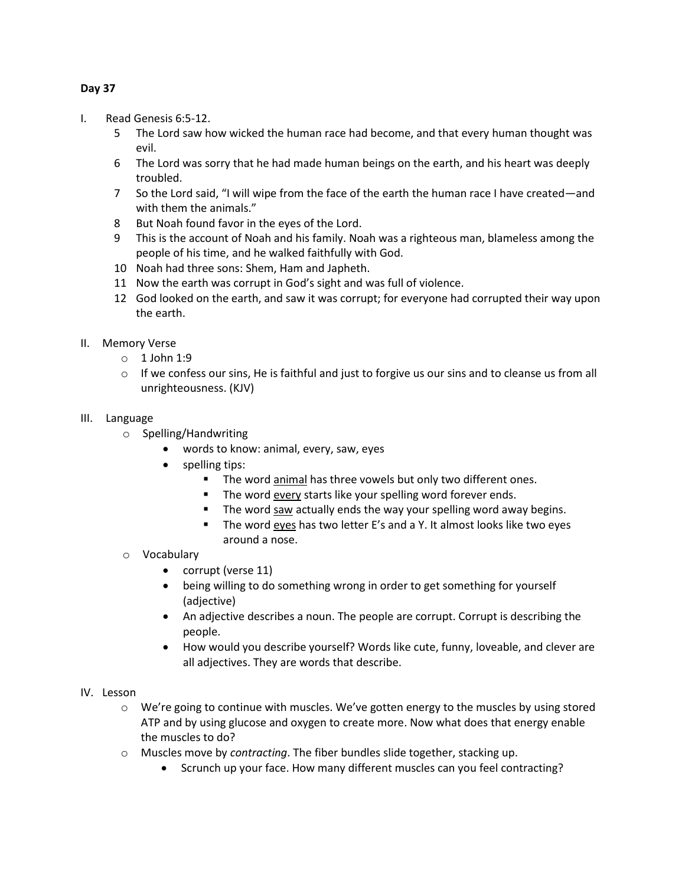# **Day 37**

- I. Read Genesis 6:5-12.
	- 5 The Lord saw how wicked the human race had become, and that every human thought was evil.
	- 6 The Lord was sorry that he had made human beings on the earth, and his heart was deeply troubled.
	- 7 So the Lord said, "I will wipe from the face of the earth the human race I have created—and with them the animals."
	- 8 But Noah found favor in the eyes of the Lord.
	- 9 This is the account of Noah and his family. Noah was a righteous man, blameless among the people of his time, and he walked faithfully with God.
	- 10 Noah had three sons: Shem, Ham and Japheth.
	- 11 Now the earth was corrupt in God's sight and was full of violence.
	- 12 God looked on the earth, and saw it was corrupt; for everyone had corrupted their way upon the earth.
- II. Memory Verse
	- $\circ$  1 John 1:9
	- $\circ$  If we confess our sins, He is faithful and just to forgive us our sins and to cleanse us from all unrighteousness. (KJV)
- III. Language
	- o Spelling/Handwriting
		- words to know: animal, every, saw, eyes
		- spelling tips:
			- The word animal has three vowels but only two different ones.
			- The word every starts like your spelling word forever ends.
			- The word saw actually ends the way your spelling word away begins.
			- The word eyes has two letter E's and a Y. It almost looks like two eyes around a nose.
	- o Vocabulary
		- corrupt (verse 11)
		- being willing to do something wrong in order to get something for yourself (adjective)
		- An adjective describes a noun. The people are corrupt. Corrupt is describing the people.
		- How would you describe yourself? Words like cute, funny, loveable, and clever are all adjectives. They are words that describe.
- IV. Lesson
	- $\circ$  We're going to continue with muscles. We've gotten energy to the muscles by using stored ATP and by using glucose and oxygen to create more. Now what does that energy enable the muscles to do?
	- o Muscles move by *contracting*. The fiber bundles slide together, stacking up.
		- Scrunch up your face. How many different muscles can you feel contracting?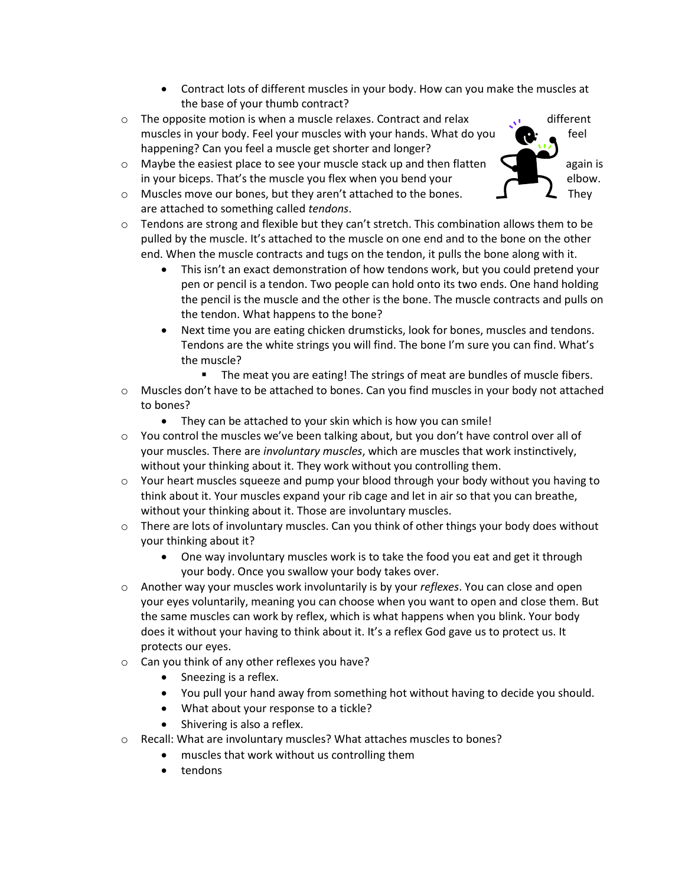- Contract lots of different muscles in your body. How can you make the muscles at the base of your thumb contract?
- $\circ$  The opposite motion is when a muscle relaxes. Contract and relax  $\bullet$  different muscles in your body. Feel your muscles with your hands. What do you  $\bullet$  feel happening? Can you feel a muscle get shorter and longer?
- $\circ$  Maybe the easiest place to see your muscle stack up and then flatten  $\sim$   $\sim$   $\sim$  again is in your biceps. That's the muscle you flex when you bend your elbow.
- $\circ$  Muscles move our bones, but they aren't attached to the bones.  $\Box$  They are attached to something called *tendons*.
- $\circ$  Tendons are strong and flexible but they can't stretch. This combination allows them to be pulled by the muscle. It's attached to the muscle on one end and to the bone on the other end. When the muscle contracts and tugs on the tendon, it pulls the bone along with it.
	- This isn't an exact demonstration of how tendons work, but you could pretend your pen or pencil is a tendon. Two people can hold onto its two ends. One hand holding the pencil is the muscle and the other is the bone. The muscle contracts and pulls on the tendon. What happens to the bone?
	- Next time you are eating chicken drumsticks, look for bones, muscles and tendons. Tendons are the white strings you will find. The bone I'm sure you can find. What's the muscle?
		- The meat you are eating! The strings of meat are bundles of muscle fibers.
- $\circ$  Muscles don't have to be attached to bones. Can you find muscles in your body not attached to bones?
	- They can be attached to your skin which is how you can smile!
- o You control the muscles we've been talking about, but you don't have control over all of your muscles. There are *involuntary muscles*, which are muscles that work instinctively, without your thinking about it. They work without you controlling them.
- $\circ$  Your heart muscles squeeze and pump your blood through your body without you having to think about it. Your muscles expand your rib cage and let in air so that you can breathe, without your thinking about it. Those are involuntary muscles.
- $\circ$  There are lots of involuntary muscles. Can you think of other things your body does without your thinking about it?
	- One way involuntary muscles work is to take the food you eat and get it through your body. Once you swallow your body takes over.
- o Another way your muscles work involuntarily is by your *reflexes*. You can close and open your eyes voluntarily, meaning you can choose when you want to open and close them. But the same muscles can work by reflex, which is what happens when you blink. Your body does it without your having to think about it. It's a reflex God gave us to protect us. It protects our eyes.
- o Can you think of any other reflexes you have?
	- Sneezing is a reflex.
	- You pull your hand away from something hot without having to decide you should.
	- What about your response to a tickle?
	- Shivering is also a reflex.
- o Recall: What are involuntary muscles? What attaches muscles to bones?
	- muscles that work without us controlling them
	- tendons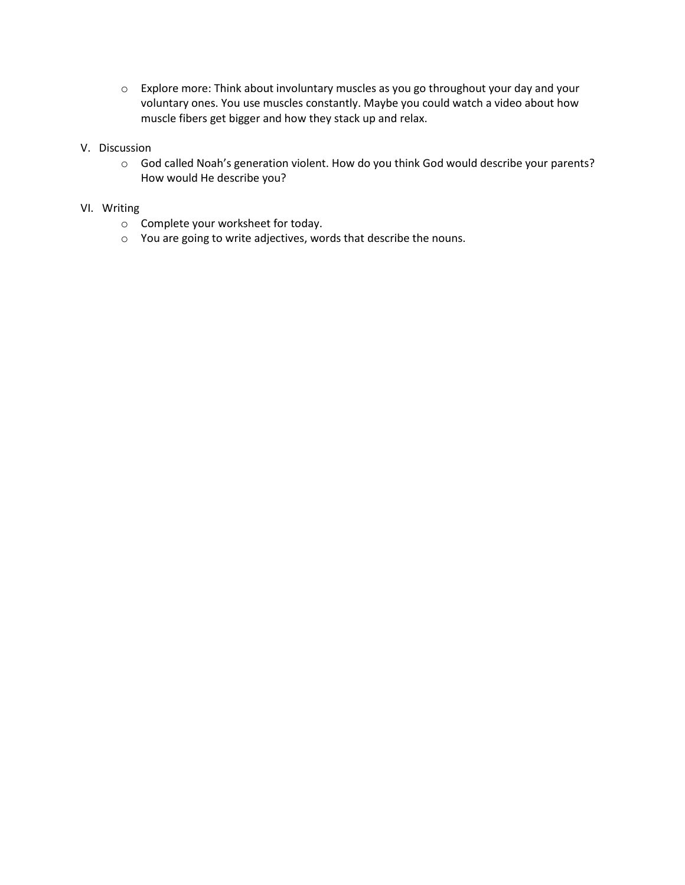o Explore more: Think about involuntary muscles as you go throughout your day and your voluntary ones. You use muscles constantly. Maybe you could watch a video about how muscle fibers get bigger and how they stack up and relax.

## V. Discussion

o God called Noah's generation violent. How do you think God would describe your parents? How would He describe you?

## VI. Writing

- o Complete your worksheet for today.
- o You are going to write adjectives, words that describe the nouns.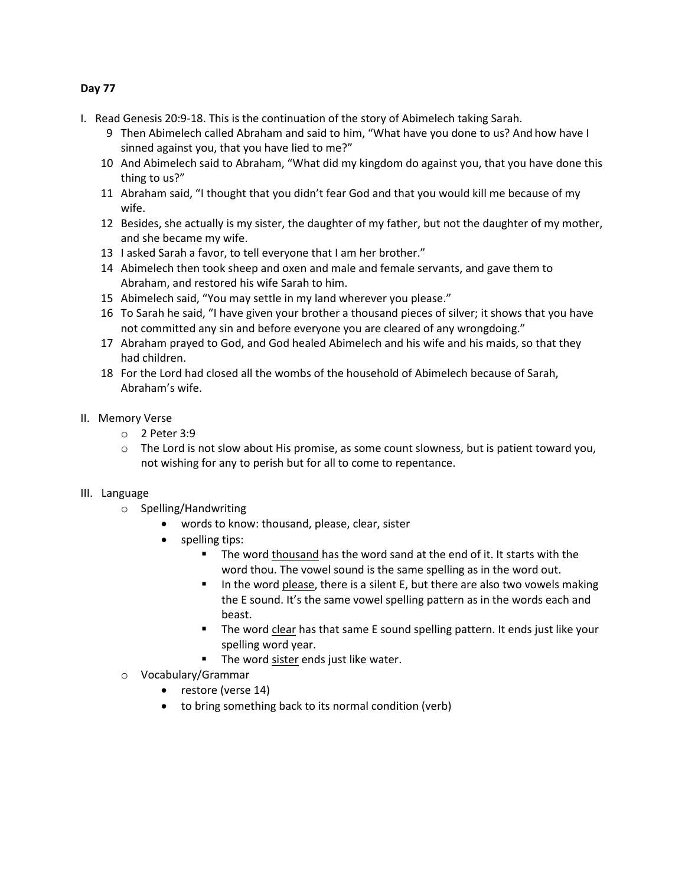## **Day 77**

- I. Read Genesis 20:9-18. This is the continuation of the story of Abimelech taking Sarah.
	- 9 Then Abimelech called Abraham and said to him, "What have you done to us? And how have I sinned against you, that you have lied to me?"
	- 10 And Abimelech said to Abraham, "What did my kingdom do against you, that you have done this thing to us?"
	- 11 Abraham said, "I thought that you didn't fear God and that you would kill me because of my wife.
	- 12 Besides, she actually is my sister, the daughter of my father, but not the daughter of my mother, and she became my wife.
	- 13 I asked Sarah a favor, to tell everyone that I am her brother."
	- 14 Abimelech then took sheep and oxen and male and female servants, and gave them to Abraham, and restored his wife Sarah to him.
	- 15 Abimelech said, "You may settle in my land wherever you please."
	- 16 To Sarah he said, "I have given your brother a thousand pieces of silver; it shows that you have not committed any sin and before everyone you are cleared of any wrongdoing."
	- 17 Abraham prayed to God, and God healed Abimelech and his wife and his maids, so that they had children.
	- 18 For the Lord had closed all the wombs of the household of Abimelech because of Sarah, Abraham's wife.
- II. Memory Verse
	- o 2 Peter 3:9
	- $\circ$  The Lord is not slow about His promise, as some count slowness, but is patient toward you, not wishing for any to perish but for all to come to repentance.

## III. Language

- o Spelling/Handwriting
	- words to know: thousand, please, clear, sister
	- spelling tips:
		- The word thousand has the word sand at the end of it. It starts with the word thou. The vowel sound is the same spelling as in the word out.
		- In the word please, there is a silent E, but there are also two vowels making the E sound. It's the same vowel spelling pattern as in the words each and beast.
		- The word clear has that same E sound spelling pattern. It ends just like your spelling word year.
		- The word sister ends just like water.
- o Vocabulary/Grammar
	- restore (verse 14)
	- to bring something back to its normal condition (verb)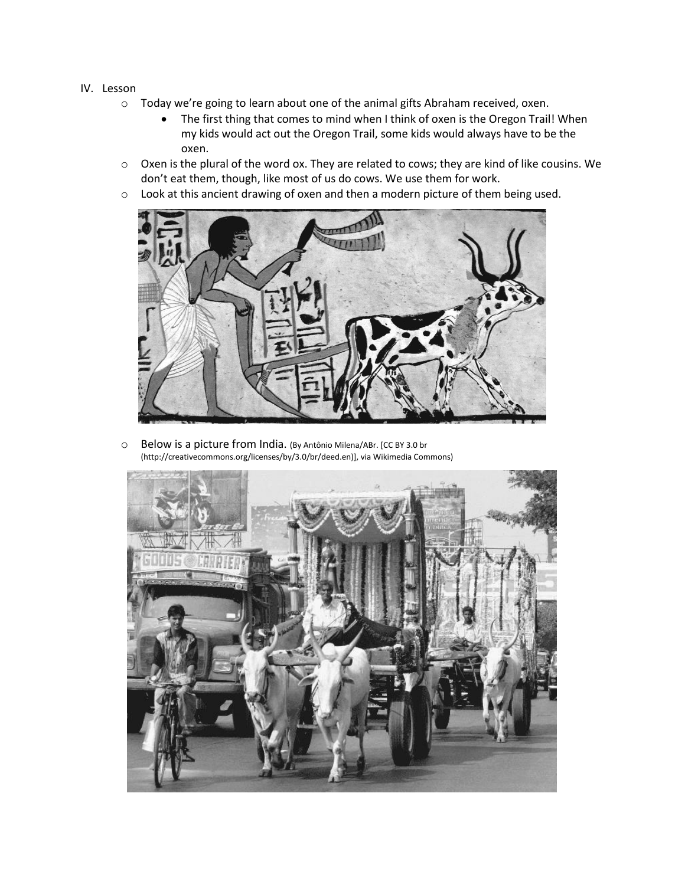- IV. Lesson
	- o Today we're going to learn about one of the animal gifts Abraham received, oxen.
		- The first thing that comes to mind when I think of oxen is the Oregon Trail! When my kids would act out the Oregon Trail, some kids would always have to be the oxen.
	- o Oxen is the plural of the word ox. They are related to cows; they are kind of like cousins. We don't eat them, though, like most of us do cows. We use them for work.
	- o Look at this ancient drawing of oxen and then a modern picture of them being used.



o Below is a picture from India. (By Antônio Milena/ABr. [CC BY 3.0 br (http://creativecommons.org/licenses/by/3.0/br/deed.en)], via Wikimedia Commons)

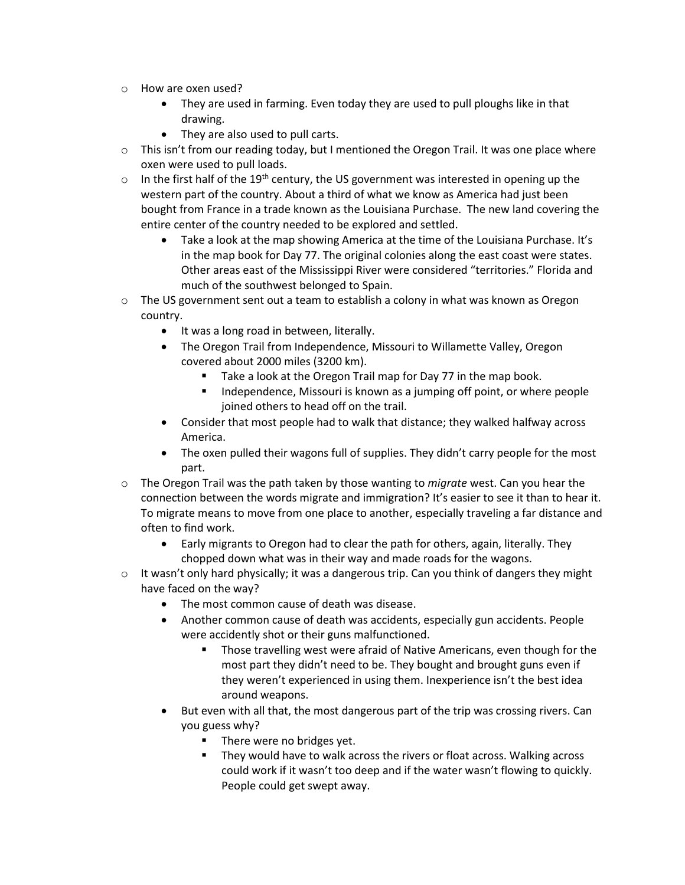- o How are oxen used?
	- They are used in farming. Even today they are used to pull ploughs like in that drawing.
	- They are also used to pull carts.
- $\circ$  This isn't from our reading today, but I mentioned the Oregon Trail. It was one place where oxen were used to pull loads.
- $\circ$  In the first half of the 19<sup>th</sup> century, the US government was interested in opening up the western part of the country. About a third of what we know as America had just been bought from France in a trade known as the Louisiana Purchase. The new land covering the entire center of the country needed to be explored and settled.
	- Take a look at the map showing America at the time of the Louisiana Purchase. It's in the map book for Day 77. The original colonies along the east coast were states. Other areas east of the Mississippi River were considered "territories." Florida and much of the southwest belonged to Spain.
- $\circ$  The US government sent out a team to establish a colony in what was known as Oregon country.
	- It was a long road in between, literally.
	- The Oregon Trail from Independence, Missouri to Willamette Valley, Oregon covered about 2000 miles (3200 km).
		- Take a look at the Oregon Trail map for Day 77 in the map book.
		- Independence, Missouri is known as a jumping off point, or where people joined others to head off on the trail.
	- Consider that most people had to walk that distance; they walked halfway across America.
	- The oxen pulled their wagons full of supplies. They didn't carry people for the most part.
- o The Oregon Trail was the path taken by those wanting to *migrate* west. Can you hear the connection between the words migrate and immigration? It's easier to see it than to hear it. To migrate means to move from one place to another, especially traveling a far distance and often to find work.
	- Early migrants to Oregon had to clear the path for others, again, literally. They chopped down what was in their way and made roads for the wagons.
- $\circ$  It wasn't only hard physically; it was a dangerous trip. Can you think of dangers they might have faced on the way?
	- The most common cause of death was disease.
	- Another common cause of death was accidents, especially gun accidents. People were accidently shot or their guns malfunctioned.
		- Those travelling west were afraid of Native Americans, even though for the most part they didn't need to be. They bought and brought guns even if they weren't experienced in using them. Inexperience isn't the best idea around weapons.
	- But even with all that, the most dangerous part of the trip was crossing rivers. Can you guess why?
		- There were no bridges yet.
		- They would have to walk across the rivers or float across. Walking across could work if it wasn't too deep and if the water wasn't flowing to quickly. People could get swept away.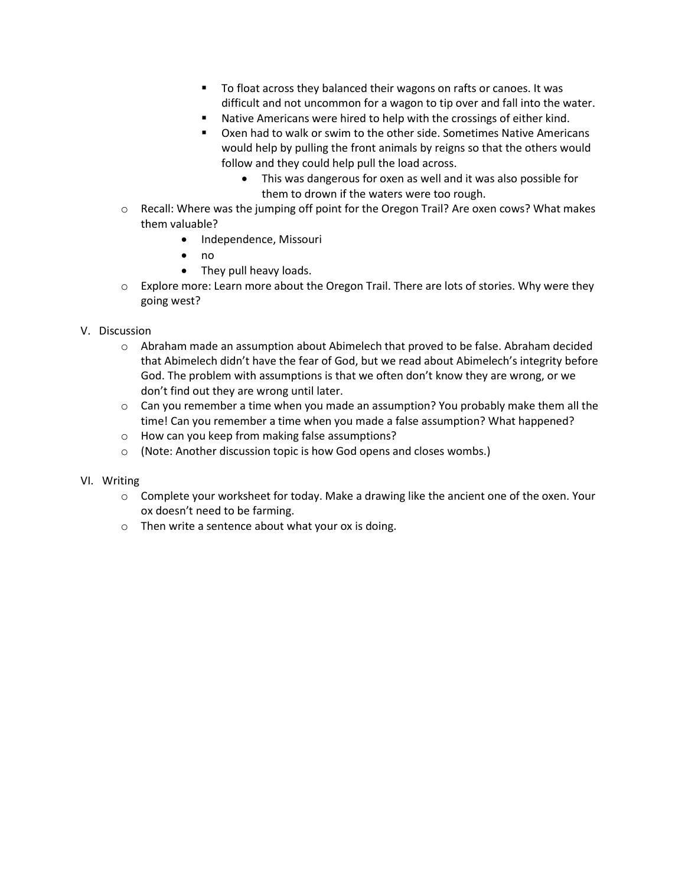- To float across they balanced their wagons on rafts or canoes. It was difficult and not uncommon for a wagon to tip over and fall into the water.
- Native Americans were hired to help with the crossings of either kind.
- Oxen had to walk or swim to the other side. Sometimes Native Americans would help by pulling the front animals by reigns so that the others would follow and they could help pull the load across.
	- This was dangerous for oxen as well and it was also possible for them to drown if the waters were too rough.
- o Recall: Where was the jumping off point for the Oregon Trail? Are oxen cows? What makes them valuable?
	- Independence, Missouri
	- no
	- They pull heavy loads.
- $\circ$  Explore more: Learn more about the Oregon Trail. There are lots of stories. Why were they going west?

#### V. Discussion

- o Abraham made an assumption about Abimelech that proved to be false. Abraham decided that Abimelech didn't have the fear of God, but we read about Abimelech's integrity before God. The problem with assumptions is that we often don't know they are wrong, or we don't find out they are wrong until later.
- $\circ$  Can you remember a time when you made an assumption? You probably make them all the time! Can you remember a time when you made a false assumption? What happened?
- o How can you keep from making false assumptions?
- o (Note: Another discussion topic is how God opens and closes wombs.)

## VI. Writing

- o Complete your worksheet for today. Make a drawing like the ancient one of the oxen. Your ox doesn't need to be farming.
- o Then write a sentence about what your ox is doing.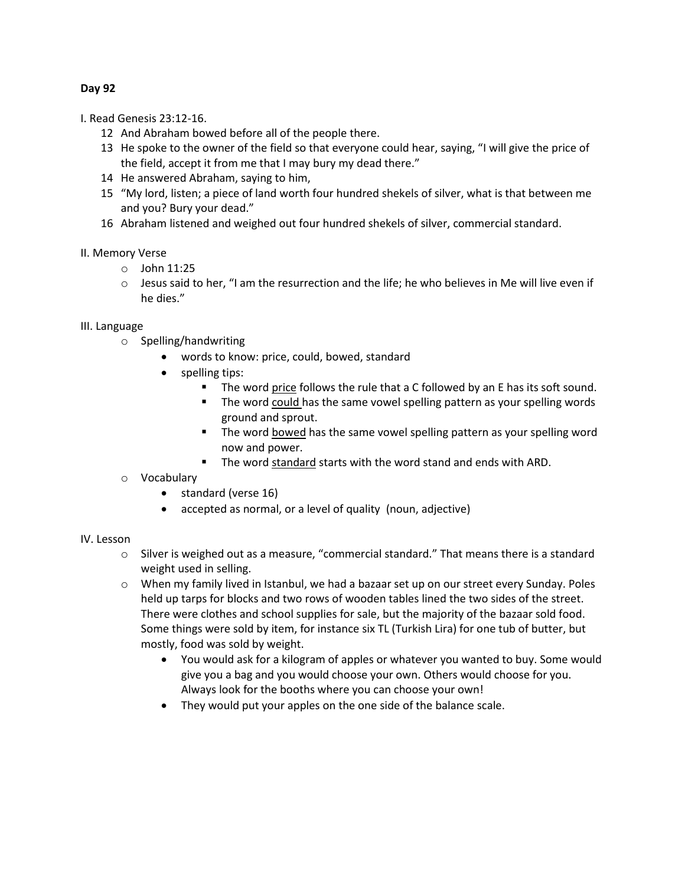## **Day 92**

I. Read Genesis 23:12-16.

- 12 And Abraham bowed before all of the people there.
- 13 He spoke to the owner of the field so that everyone could hear, saying, "I will give the price of the field, accept it from me that I may bury my dead there."
- 14 He answered Abraham, saying to him,
- 15 "My lord, listen; a piece of land worth four hundred shekels of silver, what is that between me and you? Bury your dead."
- 16 Abraham listened and weighed out four hundred shekels of silver, commercial standard.

## II. Memory Verse

- $\circ$  John 11:25
- $\circ$  Jesus said to her, "I am the resurrection and the life; he who believes in Me will live even if he dies."

## III. Language

- o Spelling/handwriting
	- words to know: price, could, bowed, standard
	- spelling tips:
		- The word price follows the rule that a C followed by an E has its soft sound.
		- The word could has the same vowel spelling pattern as your spelling words ground and sprout.
		- The word bowed has the same vowel spelling pattern as your spelling word now and power.
		- The word standard starts with the word stand and ends with ARD.
- o Vocabulary
	- standard (verse 16)
	- accepted as normal, or a level of quality (noun, adjective)

## IV. Lesson

- o Silver is weighed out as a measure, "commercial standard." That means there is a standard weight used in selling.
- $\circ$  When my family lived in Istanbul, we had a bazaar set up on our street every Sunday. Poles held up tarps for blocks and two rows of wooden tables lined the two sides of the street. There were clothes and school supplies for sale, but the majority of the bazaar sold food. Some things were sold by item, for instance six TL (Turkish Lira) for one tub of butter, but mostly, food was sold by weight.
	- You would ask for a kilogram of apples or whatever you wanted to buy. Some would give you a bag and you would choose your own. Others would choose for you. Always look for the booths where you can choose your own!
	- They would put your apples on the one side of the balance scale.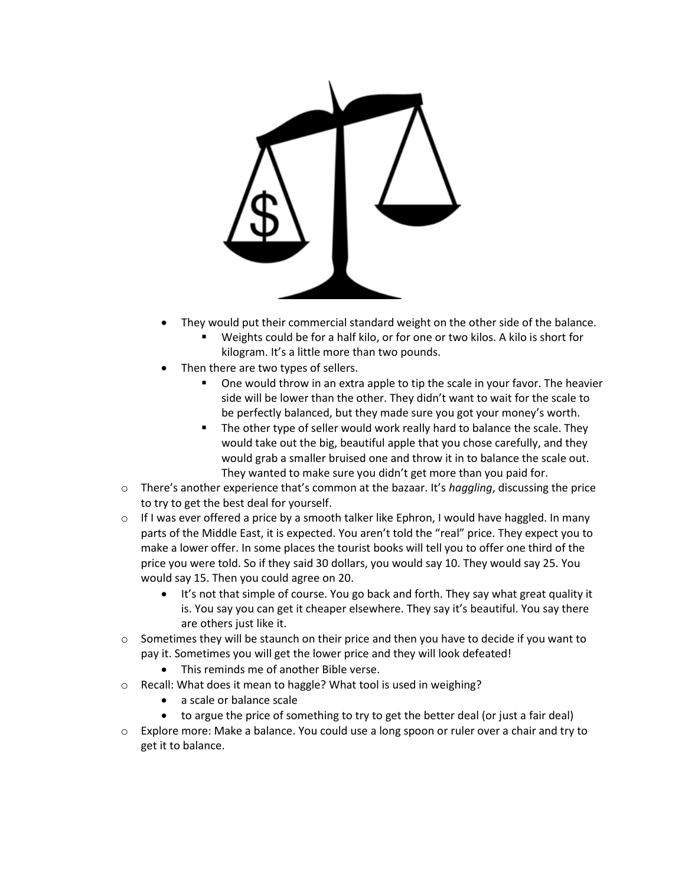

- They would put their commercial standard weight on the other side of the balance.
	- Weights could be for a half kilo, or for one or two kilos. A kilo is short for kilogram. It's a little more than two pounds.
- Then there are two types of sellers.
	- One would throw in an extra apple to tip the scale in your favor. The heavier side will be lower than the other. They didn't want to wait for the scale to be perfectly balanced, but they made sure you got your money's worth.
	- The other type of seller would work really hard to balance the scale. They would take out the big, beautiful apple that you chose carefully, and they would grab a smaller bruised one and throw it in to balance the scale out. They wanted to make sure you didn't get more than you paid for.
- o There's another experience that's common at the bazaar. It's *haggling*, discussing the price to try to get the best deal for yourself.
- $\circ$  If I was ever offered a price by a smooth talker like Ephron, I would have haggled. In many parts of the Middle East, it is expected. You aren't told the "real" price. They expect you to make a lower offer. In some places the tourist books will tell you to offer one third of the price you were told. So if they said 30 dollars, you would say 10. They would say 25. You would say 15. Then you could agree on 20.
	- It's not that simple of course. You go back and forth. They say what great quality it is. You say you can get it cheaper elsewhere. They say it's beautiful. You say there are others just like it.
- $\circ$  Sometimes they will be staunch on their price and then you have to decide if you want to pay it. Sometimes you will get the lower price and they will look defeated!
	- This reminds me of another Bible verse.
- o Recall: What does it mean to haggle? What tool is used in weighing?
	- a scale or balance scale
	- to argue the price of something to try to get the better deal (or just a fair deal)
- o Explore more: Make a balance. You could use a long spoon or ruler over a chair and try to get it to balance.